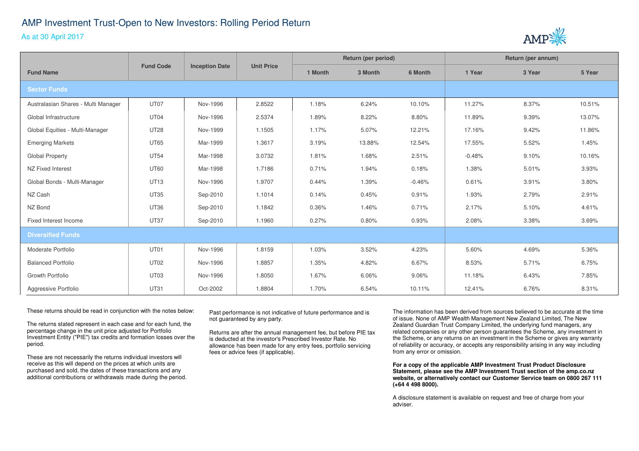## AMP Investment Trust-Open to New Investors: Rolling Period ReturnAs at 30 April 2017



|                                     | <b>Fund Code</b> | <b>Inception Date</b> | <b>Unit Price</b> | Return (per period) |         |          | Return (per annum) |        |        |
|-------------------------------------|------------------|-----------------------|-------------------|---------------------|---------|----------|--------------------|--------|--------|
| <b>Fund Name</b>                    |                  |                       |                   | 1 Month             | 3 Month | 6 Month  | 1 Year             | 3 Year | 5 Year |
| <b>Sector Funds</b>                 |                  |                       |                   |                     |         |          |                    |        |        |
| Australasian Shares - Multi Manager | UT07             | Nov-1996              | 2.8522            | 1.18%               | 6.24%   | 10.10%   | 11.27%             | 8.37%  | 10.51% |
| Global Infrastructure               | UT04             | Nov-1996              | 2.5374            | 1.89%               | 8.22%   | 8.80%    | 11.89%             | 9.39%  | 13.07% |
| Global Equities - Multi-Manager     | <b>UT28</b>      | Nov-1999              | 1.1505            | 1.17%               | 5.07%   | 12.21%   | 17.16%             | 9.42%  | 11.86% |
| <b>Emerging Markets</b>             | <b>UT65</b>      | Mar-1999              | 1.3617            | 3.19%               | 13.88%  | 12.54%   | 17.55%             | 5.52%  | 1.45%  |
| Global Property                     | <b>UT54</b>      | Mar-1998              | 3.0732            | 1.81%               | 1.68%   | 2.51%    | $-0.48%$           | 9.10%  | 10.16% |
| NZ Fixed Interest                   | <b>UT60</b>      | Mar-1998              | 1.7186            | 0.71%               | 1.94%   | 0.18%    | 1.38%              | 5.01%  | 3.93%  |
| Global Bonds - Multi-Manager        | <b>UT13</b>      | Nov-1996              | 1.9707            | 0.44%               | 1.39%   | $-0.46%$ | 0.61%              | 3.91%  | 3.80%  |
| NZ Cash                             | <b>UT35</b>      | Sep-2010              | 1.1014            | 0.14%               | 0.45%   | 0.91%    | 1.93%              | 2.79%  | 2.91%  |
| NZ Bond                             | <b>UT36</b>      | Sep-2010              | 1.1842            | 0.36%               | 1.46%   | 0.71%    | 2.17%              | 5.10%  | 4.61%  |
| Fixed Interest Income               | <b>UT37</b>      | Sep-2010              | 1.1960            | 0.27%               | 0.80%   | 0.93%    | 2.08%              | 3.38%  | 3.69%  |
| <b>Diversified Funds</b>            |                  |                       |                   |                     |         |          |                    |        |        |
| Moderate Portfolio                  | UT01             | Nov-1996              | 1.8159            | 1.03%               | 3.52%   | 4.23%    | 5.60%              | 4.69%  | 5.36%  |
| <b>Balanced Portfolio</b>           | <b>UT02</b>      | Nov-1996              | 1.8857            | 1.35%               | 4.82%   | 6.67%    | 8.53%              | 5.71%  | 6.75%  |
| Growth Portfolio                    | UT03             | Nov-1996              | 1.8050            | 1.67%               | 6.06%   | 9.06%    | 11.18%             | 6.43%  | 7.85%  |
| Aggressive Portfolio                | <b>UT31</b>      | Oct-2002              | 1.8804            | 1.70%               | 6.54%   | 10.11%   | 12.41%             | 6.76%  | 8.31%  |

These returns should be read in conjunction with the notes below:

The returns stated represent in each case and for each fund, the percentage change in the unit price adjusted for Portfolio Investment Entity ("PIE") tax credits and formation losses over the period.

These are not necessarily the returns individual investors will receive as this will depend on the prices at which units are purchased and sold, the dates of these transactions and any additional contributions or withdrawals made during the period. Past performance is not indicative of future performance and is not guaranteed by any party.

Returns are after the annual management fee, but before PIE tax is deducted at the investor's Prescribed Investor Rate. No allowance has been made for any entry fees, portfolio servicing fees or advice fees (if applicable).

The information has been derived from sources believed to be accurate at the time of issue. None of AMP Wealth Management New Zealand Limited, The New Zealand Guardian Trust Company Limited, the underlying fund managers, any related companies or any other person guarantees the Scheme, any investment in the Scheme, or any returns on an investment in the Scheme or gives any warranty of reliability or accuracy, or accepts any responsibility arising in any way including from any error or omission.

**For a copy of the applicable AMP Investment Trust Product Disclosure Statement, please see the AMP Investment Trust section of the amp.co.nz website, or alternatively contact our Customer Service team on 0800 267 111 (+64 4 498 8000).**

A disclosure statement is available on request and free of charge from your adviser.